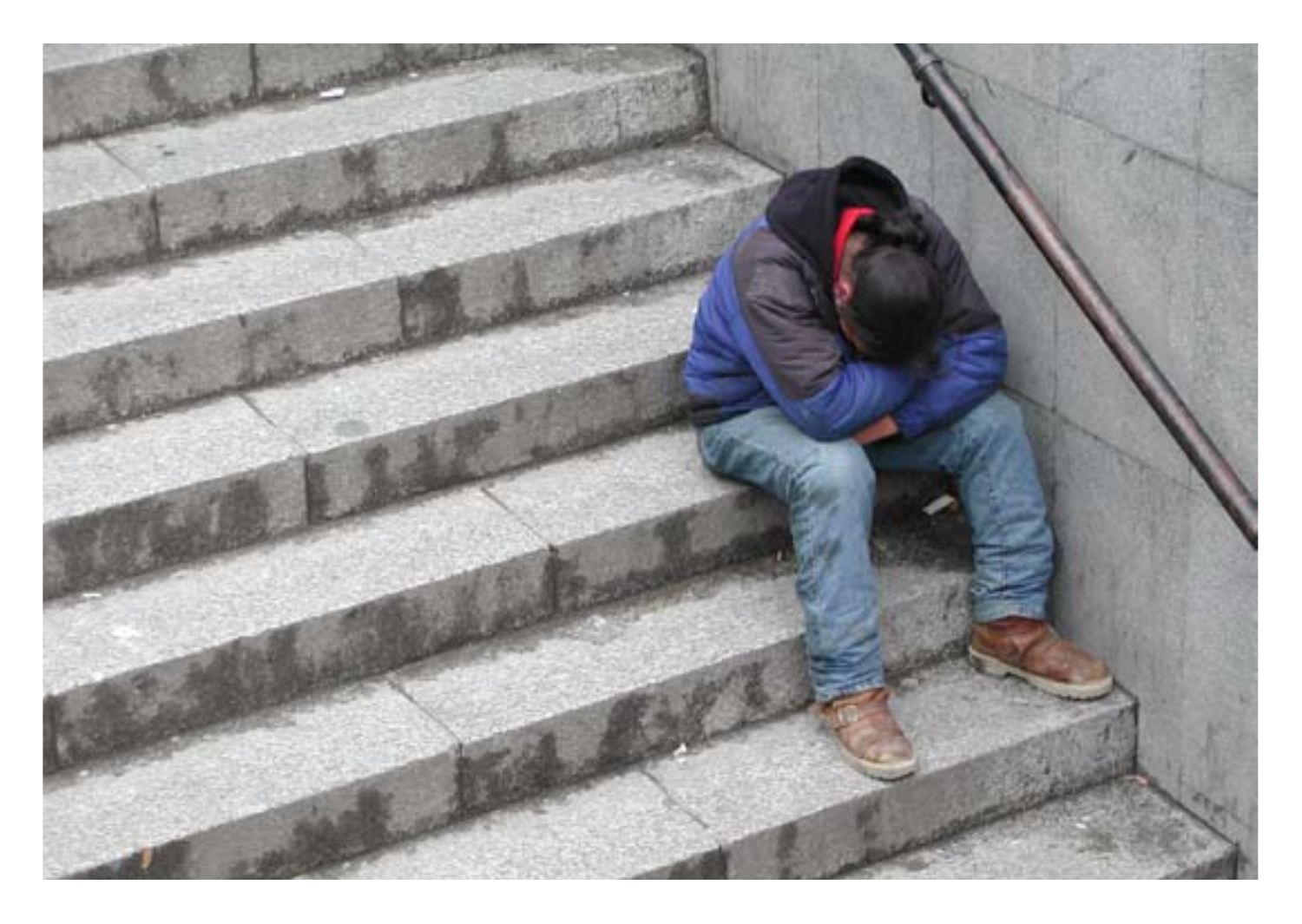